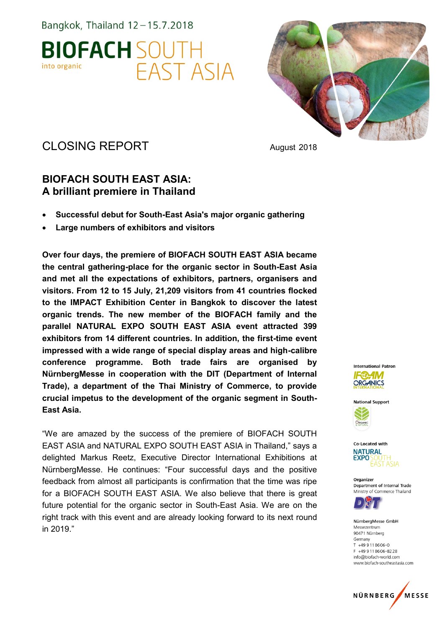



# CLOSING REPORT August 2018

## **BIOFACH SOUTH EAST ASIA: A brilliant premiere in Thailand**

- **Successful debut for South-East Asia's major organic gathering**
- **Large numbers of exhibitors and visitors**

**Over four days, the premiere of BIOFACH SOUTH EAST ASIA became the central gathering-place for the organic sector in South-East Asia and met all the expectations of exhibitors, partners, organisers and visitors. From 12 to 15 July, 21,209 visitors from 41 countries flocked to the IMPACT Exhibition Center in Bangkok to discover the latest organic trends. The new member of the BIOFACH family and the parallel NATURAL EXPO SOUTH EAST ASIA event attracted 399 exhibitors from 14 different countries. In addition, the first-time event impressed with a wide range of special display areas and high-calibre conference programme. Both trade fairs are organised by NürnbergMesse in cooperation with the DIT (Department of Internal Trade), a department of the Thai Ministry of Commerce, to provide crucial impetus to the development of the organic segment in South-East Asia.** 

"We are amazed by the success of the premiere of BIOFACH SOUTH EAST ASIA and NATURAL EXPO SOUTH EAST ASIA in Thailand," says a delighted Markus Reetz, Executive Director International Exhibitions at NürnbergMesse. He continues: "Four successful days and the positive feedback from almost all participants is confirmation that the time was ripe for a BIOFACH SOUTH EAST ASIA. We also believe that there is great future potential for the organic sector in South-East Asia. We are on the right track with this event and are already looking forward to its next round in 2019."







Organizer Department of Internal Trade Ministry of Commerce Thailand



NürnberaMesse GmbH Messezentrum 90471 Nürnberg Germany  $T + 499118606 - 0$ F +49 9 11 8 6 0 6 - 8 2 2 8 info@biofach-world.com www.biofach-southeastasia.com

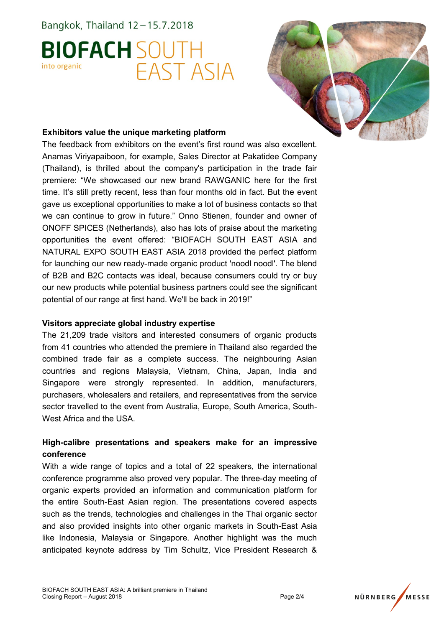



### **Exhibitors value the unique marketing platform**

The feedback from exhibitors on the event's first round was also excellent. Anamas Viriyapaiboon, for example, Sales Director at Pakatidee Company (Thailand), is thrilled about the company's participation in the trade fair premiere: "We showcased our new brand RAWGANIC here for the first time. It's still pretty recent, less than four months old in fact. But the event gave us exceptional opportunities to make a lot of business contacts so that we can continue to grow in future." Onno Stienen, founder and owner of ONOFF SPICES (Netherlands), also has lots of praise about the marketing opportunities the event offered: "BIOFACH SOUTH EAST ASIA and NATURAL EXPO SOUTH EAST ASIA 2018 provided the perfect platform for launching our new ready-made organic product 'noodl noodl'. The blend of B2B and B2C contacts was ideal, because consumers could try or buy our new products while potential business partners could see the significant potential of our range at first hand. We'll be back in 2019!"

#### **Visitors appreciate global industry expertise**

The 21,209 trade visitors and interested consumers of organic products from 41 countries who attended the premiere in Thailand also regarded the combined trade fair as a complete success. The neighbouring Asian countries and regions Malaysia, Vietnam, China, Japan, India and Singapore were strongly represented. In addition, manufacturers, purchasers, wholesalers and retailers, and representatives from the service sector travelled to the event from Australia, Europe, South America, South-West Africa and the USA.

## **High-calibre presentations and speakers make for an impressive conference**

With a wide range of topics and a total of 22 speakers, the international conference programme also proved very popular. The three-day meeting of organic experts provided an information and communication platform for the entire South-East Asian region. The presentations covered aspects such as the trends, technologies and challenges in the Thai organic sector and also provided insights into other organic markets in South-East Asia like Indonesia, Malaysia or Singapore. Another highlight was the much anticipated keynote address by Tim Schultz, Vice President Research &

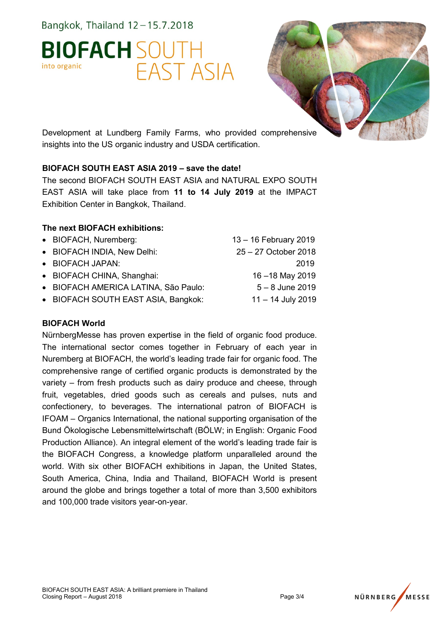



Development at Lundberg Family Farms, who provided comprehensive insights into the US organic industry and USDA certification.

## **BIOFACH SOUTH EAST ASIA 2019 – save the date!**

The second BIOFACH SOUTH EAST ASIA and NATURAL EXPO SOUTH EAST ASIA will take place from **11 to 14 July 2019** at the IMPACT Exhibition Center in Bangkok, Thailand.

### **The next BIOFACH exhibitions:**

- BIOFACH, Nuremberg: 13 16 February 2019
- BIOFACH INDIA, New Delhi: 25 27 October 2018
- BIOFACH JAPAN: 2019
- BIOFACH CHINA, Shanghai: 16 –18 May 2019
- BIOFACH AMERICA LATINA, São Paulo: 5 8 June 2019
- BIOFACH SOUTH EAST ASIA, Bangkok: 11 14 July 2019

#### **BIOFACH World**

NürnbergMesse has proven expertise in the field of organic food produce. The international sector comes together in February of each year in Nuremberg at BIOFACH, the world's leading trade fair for organic food. The comprehensive range of certified organic products is demonstrated by the variety – from fresh products such as dairy produce and cheese, through fruit, vegetables, dried goods such as cereals and pulses, nuts and confectionery, to beverages. The international patron of BIOFACH is IFOAM – Organics International, the national supporting organisation of the Bund Ökologische Lebensmittelwirtschaft (BÖLW; in English: Organic Food Production Alliance). An integral element of the world's leading trade fair is the BIOFACH Congress, a knowledge platform unparalleled around the world. With six other BIOFACH exhibitions in Japan, the United States, South America, China, India and Thailand, BIOFACH World is present around the globe and brings together a total of more than 3,500 exhibitors and 100,000 trade visitors year-on-year.